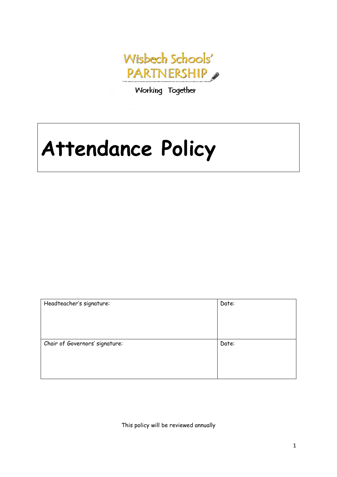

Working Together

# **Attendance Policy**

| Headteacher's signature:       | Date: |
|--------------------------------|-------|
|                                |       |
|                                |       |
|                                |       |
| Chair of Governors' signature: | Date: |
|                                |       |
|                                |       |
|                                |       |

This policy will be reviewed annually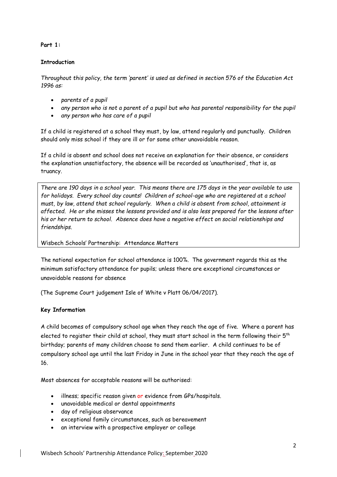**Part 1:** 

# **Introduction**

*Throughout this policy, the term 'parent' is used as defined in section 576 of the Education Act 1996 as:* 

- *parents of a pupil*
- *any person who is not a parent of a pupil but who has parental responsibility for the pupil*
- *any person who has care of a pupil*

If a child is registered at a school they must, by law, attend regularly and punctually. Children should only miss school if they are ill or for some other unavoidable reason.

If a child is absent and school does not receive an explanation for their absence, or considers the explanation unsatisfactory, the absence will be recorded as 'unauthorised', that is, as truancy.

*There are 190 days in a school year. This means there are 175 days in the year available to use for holidays. Every school day counts! Children of school-age who are registered at a school must, by law, attend that school regularly. When a child is absent from school, attainment is affected. He or she misses the lessons provided and is also less prepared for the lessons after his or her return to school. Absence does have a negative effect on social relationships and friendships.*

# Wisbech Schools' Partnership: Attendance Matters

The national expectation for school attendance is 100%. The government regards this as the minimum satisfactory attendance for pupils; unless there are exceptional circumstances or unavoidable reasons for absence

(The Supreme Court judgement Isle of White v Platt 06/04/2017).

# **Key Information**

A child becomes of compulsory school age when they reach the age of five. Where a parent has elected to register their child at school, they must start school in the term following their  $5^{\rm th}$ birthday; parents of many children choose to send them earlier. A child continues to be of compulsory school age until the last Friday in June in the school year that they reach the age of 16.

Most absences for acceptable reasons will be authorised:

- illness; specific reason given or evidence from GPs/hospitals.
- unavoidable medical or dental appointments
- day of religious observance
- exceptional family circumstances, such as bereavement
- an interview with a prospective employer or college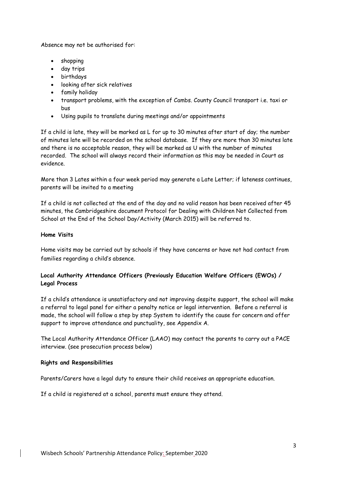Absence may not be authorised for:

- shopping
- day trips
- birthdays
- looking after sick relatives
- family holiday
- transport problems, with the exception of Cambs. County Council transport i.e. taxi or bus
- Using pupils to translate during meetings and/or appointments

If a child is late, they will be marked as L for up to 30 minutes after start of day; the number of minutes late will be recorded on the school database. If they are more than 30 minutes late and there is no acceptable reason, they will be marked as U with the number of minutes recorded. The school will always record their information as this may be needed in Court as evidence.

More than 3 Lates within a four week period may generate a Late Letter; if lateness continues, parents will be invited to a meeting

If a child is not collected at the end of the day and no valid reason has been received after 45 minutes, the Cambridgeshire document Protocol for Dealing with Children Not Collected from School at the End of the School Day/Activity (March 2015) will be referred to.

## **Home Visits**

Home visits may be carried out by schools if they have concerns or have not had contact from families regarding a child's absence.

# **Local Authority Attendance Officers (Previously Education Welfare Officers (EWOs) / Legal Process**

If a child's attendance is unsatisfactory and not improving despite support, the school will make a referral to legal panel for either a penalty notice or legal intervention. Before a referral is made, the school will follow a step by step System to identify the cause for concern and offer support to improve attendance and punctuality, see Appendix A.

The Local Authority Attendance Officer (LAAO) may contact the parents to carry out a PACE interview. (see prosecution process below)

# **Rights and Responsibilities**

Parents/Carers have a legal duty to ensure their child receives an appropriate education.

If a child is registered at a school, parents must ensure they attend.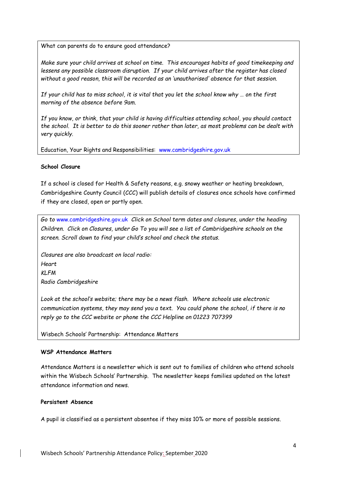What can parents do to ensure good attendance?

*Make sure your child arrives at school on time. This encourages habits of good timekeeping and lessens any possible classroom disruption. If your child arrives after the register has closed without a good reason, this will be recorded as an 'unauthorised' absence for that session.* 

*If your child has to miss school, it is vital that you let the school know why … on the first morning of the absence before 9am.*

*If you know, or think, that your child is having difficulties attending school, you should contact the school. It is better to do this sooner rather than later, as most problems can be dealt with very quickly.*

Education, Your Rights and Responsibilities: [www.cambridgeshire.gov.uk](http://www.cambridgeshire.gov.uk/)

## **School Closure**

If a school is closed for Health & Safety reasons, e.g. snowy weather or heating breakdown, Cambridgeshire County Council (CCC) will publish details of closures once schools have confirmed if they are closed, open or partly open.

*Go to* [www.cambridgeshire.gov.uk](http://www.cambridgeshire.gov.uk/) *Click on School term dates and closures, under the heading Children. Click on Closures, under Go To you will see a list of Cambridgeshire schools on the screen. Scroll down to find your child's school and check the status.*

*Closures are also broadcast on local radio: Heart KLFM Radio Cambridgeshire*

*Look at the school's website; there may be a news flash. Where schools use electronic communication systems, they may send you a text. You could phone the school, if there is no reply go to the CCC website or phone the CCC Helpline on 01223 707399*

Wisbech Schools' Partnership: Attendance Matters

#### **WSP Attendance Matters**

Attendance Matters is a newsletter which is sent out to families of children who attend schools within the Wisbech Schools' Partnership. The newsletter keeps families updated on the latest attendance information and news.

### **Persistent Absence**

A pupil is classified as a persistent absentee if they miss 10% or more of possible sessions.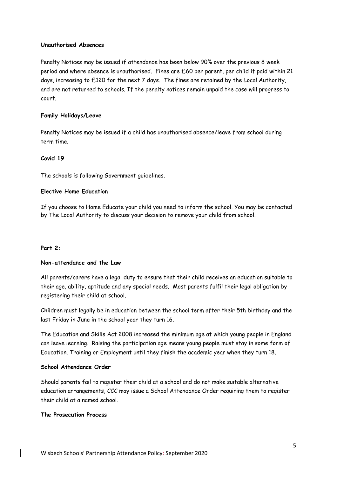### **Unauthorised Absences**

Penalty Notices may be issued if attendance has been below 90% over the previous 8 week period and where absence is unauthorised. Fines are £60 per parent, per child if paid within 21 days, increasing to £120 for the next 7 days. The fines are retained by the Local Authority, and are not returned to schools. If the penalty notices remain unpaid the case will progress to court.

# **Family Holidays/Leave**

Penalty Notices may be issued if a child has unauthorised absence/leave from school during term time.

## **Covid 19**

The schools is following Government guidelines.

## **Elective Home Education**

If you choose to Home Educate your child you need to inform the school. You may be contacted by The Local Authority to discuss your decision to remove your child from school.

#### **Part 2:**

#### **Non-attendance and the Law**

All parents/carers have a legal duty to ensure that their child receives an education suitable to their age, ability, aptitude and any special needs. Most parents fulfil their legal obligation by registering their child at school.

Children must legally be in education between the school term after their 5th birthday and the last Friday in June in the school year they turn 16.

The Education and Skills Act 2008 increased the minimum age at which young people in England can leave learning. [Raising the participation age](http://www.cambridgeshire.gov.uk/info/20059/schools_and_learning/282/education_system/7) means young people must stay in some form of Education. Training or Employment until they finish the academic year when they turn 18.

#### **School Attendance Order**

Should parents fail to register their child at a school and do not make suitable alternative education arrangements, CCC may issue a School Attendance Order requiring them to register their child at a named school.

#### **The Prosecution Process**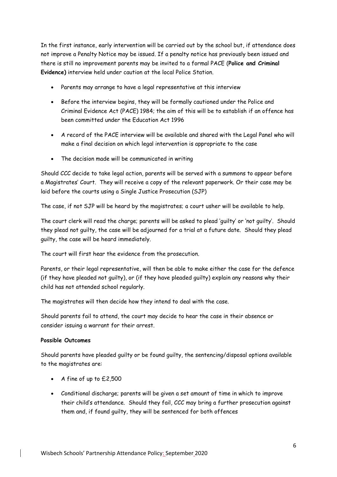In the first instance, early intervention will be carried out by the school but, if attendance does not improve a Penalty Notice may be issued. If a penalty notice has previously been issued and there is still no improvement parents may be invited to a formal PACE (**Police and Criminal Evidence)** interview held under caution at the local Police Station.

- Parents may arrange to have a legal representative at this interview
- Before the interview begins, they will be formally cautioned under the Police and Criminal Evidence Act (PACE) 1984; the aim of this will be to establish if an offence has been committed under the Education Act 1996
- A record of the PACE interview will be available and shared with the Legal Panel who will make a final decision on which legal intervention is appropriate to the case
- The decision made will be communicated in writing

Should CCC decide to take legal action, parents will be served with a summons to appear before a Magistrates' Court. They will receive a copy of the relevant paperwork. Or their case may be laid before the courts using a Single Justice Prosecution (SJP)

The case, if not SJP will be heard by the magistrates; a court usher will be available to help.

The court clerk will read the charge; parents will be asked to plead 'guilty' or 'not guilty'. Should they plead not guilty, the case will be adjourned for a trial at a future date. Should they plead guilty, the case will be heard immediately.

The court will first hear the evidence from the prosecution.

Parents, or their legal representative, will then be able to make either the case for the defence (if they have pleaded not guilty), or (if they have pleaded guilty) explain any reasons why their child has not attended school regularly.

The magistrates will then decide how they intend to deal with the case.

Should parents fail to attend, the court may decide to hear the case in their absence or consider issuing a warrant for their arrest.

# **Possible Outcomes**

Should parents have pleaded guilty or be found guilty, the sentencing/disposal options available to the magistrates are:

- $\bullet$  A fine of up to £2,500
- Conditional discharge; parents will be given a set amount of time in which to improve their child's attendance. Should they fail, CCC may bring a further prosecution against them and, if found guilty, they will be sentenced for both offences